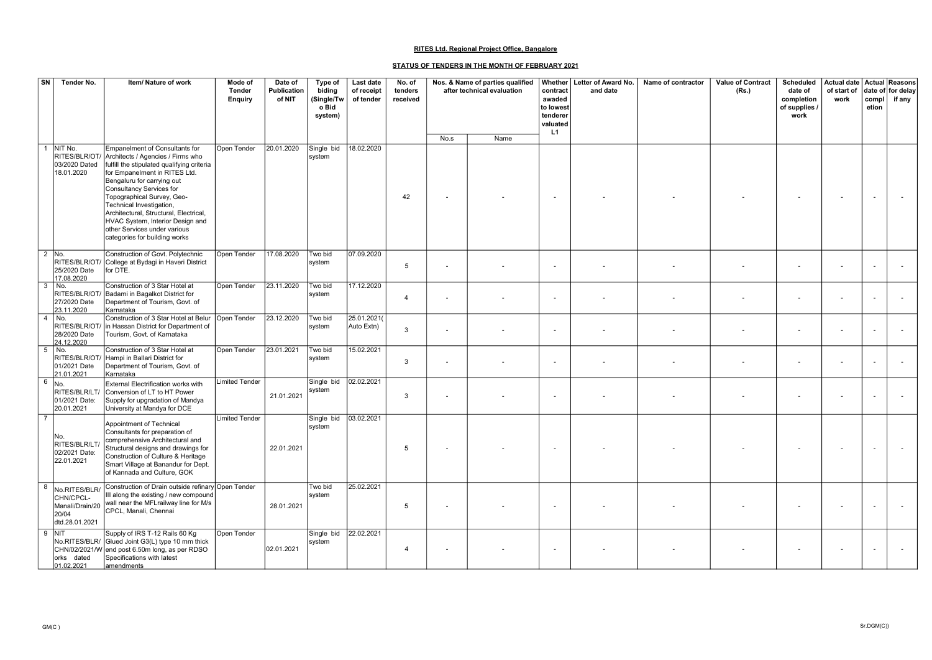| $\boxed{\mathsf{SN}}$ | Tender No.                                            | Item/ Nature of work                                                                                                                                                                                                                                                                                                                                                                                                                | Mode of<br><b>Tender</b><br><b>Enquiry</b> | Date of<br>Publication<br>of NIT | Type of<br>biding<br>(Single/Tw<br>o Bid<br>system) | Last date<br>of receipt<br>of tender | No. of<br>tenders<br>received | Nos. & Name of parties qualified<br>after technical evaluation |      | contract<br>awaded<br>to lowest<br>tenderer<br>valuated<br>L1 | Whether   Letter of Award No.<br>and date | Name of contractor | Value of Contract<br>(Rs.) | <b>Scheduled</b><br>date of<br>completion<br>of supplies /<br>work | Actual date   Actual   Reasons<br>of start of<br>work | compl<br>etion | date of for delay<br>if any |
|-----------------------|-------------------------------------------------------|-------------------------------------------------------------------------------------------------------------------------------------------------------------------------------------------------------------------------------------------------------------------------------------------------------------------------------------------------------------------------------------------------------------------------------------|--------------------------------------------|----------------------------------|-----------------------------------------------------|--------------------------------------|-------------------------------|----------------------------------------------------------------|------|---------------------------------------------------------------|-------------------------------------------|--------------------|----------------------------|--------------------------------------------------------------------|-------------------------------------------------------|----------------|-----------------------------|
|                       |                                                       |                                                                                                                                                                                                                                                                                                                                                                                                                                     |                                            |                                  |                                                     |                                      |                               | No.s                                                           | Name |                                                               |                                           |                    |                            |                                                                    |                                                       |                |                             |
|                       | NIT No.<br>03/2020 Dated<br>18.01.2020                | Empanelment of Consultants for<br>RITES/BLR/OT/ Architects / Agencies / Firms who<br>fulfill the stipulated qualifying criteria<br>for Empanelment in RITES Ltd.<br>Bengaluru for carrying out<br>Consultancy Services for<br>Topographical Survey, Geo-<br>Technical Investigation,<br>Architectural, Structural, Electrical,<br>HVAC System, Interior Design and<br>other Services under various<br>categories for building works | Open Tender                                | 20.01.2020                       | Single bid<br>system                                | 18.02.2020                           | 42                            |                                                                |      |                                                               |                                           |                    |                            |                                                                    |                                                       |                |                             |
|                       | $\overline{2}$ No.<br>25/2020 Date<br>17.08.2020      | Construction of Govt. Polytechnic<br>RITES/BLR/OT/ College at Bydagi in Haveri District<br>for DTE.                                                                                                                                                                                                                                                                                                                                 | Open Tender                                | 17.08.2020                       | Two bid<br>system                                   | 07.09.2020                           | 5                             |                                                                |      | $\overline{\phantom{a}}$                                      |                                           |                    |                            | $\overline{\phantom{a}}$                                           |                                                       |                |                             |
| 3                     | No.<br>27/2020 Date<br>23.11.2020                     | Construction of 3 Star Hotel at<br>RITES/BLR/OT/ Badami in Bagalkot District for<br>Department of Tourism, Govt. of<br>Karnataka                                                                                                                                                                                                                                                                                                    | Open Tender                                | 23.11.2020                       | Two bid<br>system                                   | 17.12.2020                           | $\boldsymbol{\Delta}$         |                                                                |      |                                                               |                                           |                    |                            |                                                                    |                                                       |                |                             |
| 4                     | No.<br>28/2020 Date<br>24.12.2020                     | Construction of 3 Star Hotel at Belur<br>RITES/BLR/OT/ in Hassan District for Department of<br>Tourism, Govt. of Karnataka                                                                                                                                                                                                                                                                                                          | Open Tender                                | 23.12.2020                       | Two bid<br>system                                   | 25.01.2021(<br>Auto Extn)            | 3                             |                                                                |      |                                                               |                                           |                    |                            |                                                                    |                                                       |                |                             |
| 5                     | No.<br>01/2021 Date<br>21.01.2021                     | Construction of 3 Star Hotel at<br>RITES/BLR/OT/ Hampi in Ballari District for<br>Department of Tourism, Govt. of<br>Karnataka                                                                                                                                                                                                                                                                                                      | Open Tender                                | 23.01.2021                       | Two bid<br>system                                   | 15.02.2021                           | 3                             |                                                                |      | $\overline{\phantom{a}}$                                      |                                           |                    |                            |                                                                    |                                                       |                |                             |
| 6                     | No.<br>RITES/BLR/LT/<br>01/2021 Date:<br>20.01.2021   | External Electrification works with<br>Conversion of LT to HT Power<br>Supply for upgradation of Mandya<br>University at Mandya for DCE                                                                                                                                                                                                                                                                                             | <b>Limited Tender</b>                      | 21.01.2021                       | Single bid<br>system                                | 02.02.2021                           | 3                             |                                                                |      | $\overline{\phantom{a}}$                                      |                                           |                    |                            |                                                                    |                                                       |                |                             |
|                       | No.<br>RITES/BLR/LT<br>02/2021 Date:<br>22.01.2021    | Appointment of Technical<br>Consultants for preparation of<br>comprehensive Architectural and<br>Structural designs and drawings for<br>Construction of Culture & Heritage<br>Smart Village at Banandur for Dept.<br>of Kannada and Culture, GOK                                                                                                                                                                                    | <b>Limited Tender</b>                      | 22.01.2021                       | Single bid<br>system                                | 03.02.2021                           | 5                             |                                                                |      | $\sim$                                                        |                                           |                    |                            |                                                                    |                                                       |                |                             |
| 8                     | No.RITES/BLR/<br>CHN/CPCL-<br>20/04<br>dtd.28.01.2021 | Construction of Drain outside refinary Open Tender<br>III along the existing / new compound<br>Manali/Drain/20   wall near the MFLrailway line for M/s<br>CPCL, Manali, Chennai                                                                                                                                                                                                                                                     |                                            | 28.01.2021                       | Two bid<br>system                                   | 25.02.2021                           | 5                             |                                                                |      | $\overline{\phantom{a}}$                                      | ٠                                         |                    |                            | $\overline{\phantom{a}}$                                           |                                                       |                |                             |
|                       | $9$ NIT<br>orks dated<br>01.02.2021                   | Supply of IRS T-12 Rails 60 Kg<br>No.RITES/BLR/ Glued Joint G3(L) type 10 mm thick<br>CHN/02/2021/W end post 6.50m long, as per RDSO<br>Specifications with latest<br>amendments                                                                                                                                                                                                                                                    | Open Tender                                | 02.01.2021                       | Single bid<br>system                                | 22.02.2021                           |                               |                                                                |      | $\overline{\phantom{a}}$                                      |                                           |                    |                            |                                                                    |                                                       |                |                             |

## RITES Ltd. Regional Project Office, Bangalore

## STATUS OF TENDERS IN THE MONTH OF FEBRUARY 2021